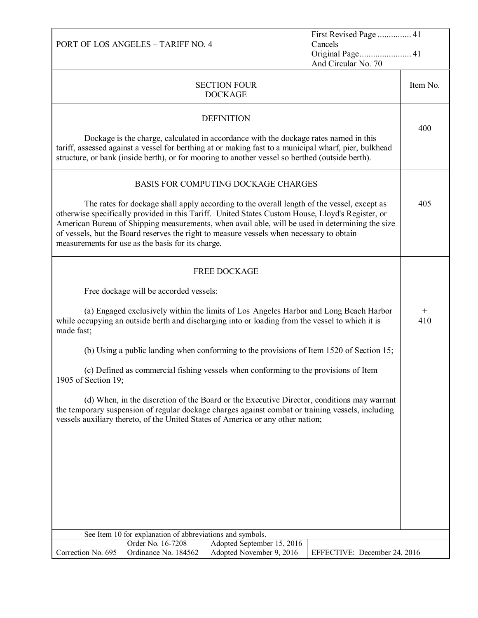|                                                                                                                                                                                                                                                                                                                                                                                                                                                    | First Revised Page  41<br>PORT OF LOS ANGELES - TARIFF NO. 4<br>Cancels<br>Original Page 41<br>And Circular No. 70 |                                                        |                              |          |
|----------------------------------------------------------------------------------------------------------------------------------------------------------------------------------------------------------------------------------------------------------------------------------------------------------------------------------------------------------------------------------------------------------------------------------------------------|--------------------------------------------------------------------------------------------------------------------|--------------------------------------------------------|------------------------------|----------|
|                                                                                                                                                                                                                                                                                                                                                                                                                                                    |                                                                                                                    | <b>SECTION FOUR</b><br><b>DOCKAGE</b>                  |                              | Item No. |
|                                                                                                                                                                                                                                                                                                                                                                                                                                                    |                                                                                                                    | <b>DEFINITION</b>                                      |                              | 400      |
| Dockage is the charge, calculated in accordance with the dockage rates named in this<br>tariff, assessed against a vessel for berthing at or making fast to a municipal wharf, pier, bulkhead<br>structure, or bank (inside berth), or for mooring to another vessel so berthed (outside berth).                                                                                                                                                   |                                                                                                                    |                                                        |                              |          |
|                                                                                                                                                                                                                                                                                                                                                                                                                                                    |                                                                                                                    | BASIS FOR COMPUTING DOCKAGE CHARGES                    |                              |          |
| The rates for dockage shall apply according to the overall length of the vessel, except as<br>otherwise specifically provided in this Tariff. United States Custom House, Lloyd's Register, or<br>American Bureau of Shipping measurements, when avail able, will be used in determining the size<br>of vessels, but the Board reserves the right to measure vessels when necessary to obtain<br>measurements for use as the basis for its charge. |                                                                                                                    |                                                        | 405                          |          |
|                                                                                                                                                                                                                                                                                                                                                                                                                                                    |                                                                                                                    | <b>FREE DOCKAGE</b>                                    |                              |          |
|                                                                                                                                                                                                                                                                                                                                                                                                                                                    | Free dockage will be accorded vessels:                                                                             |                                                        |                              |          |
| (a) Engaged exclusively within the limits of Los Angeles Harbor and Long Beach Harbor<br>while occupying an outside berth and discharging into or loading from the vessel to which it is<br>made fast;                                                                                                                                                                                                                                             |                                                                                                                    |                                                        | $^{+}$<br>410                |          |
| (b) Using a public landing when conforming to the provisions of Item 1520 of Section 15;                                                                                                                                                                                                                                                                                                                                                           |                                                                                                                    |                                                        |                              |          |
| (c) Defined as commercial fishing vessels when conforming to the provisions of Item<br>1905 of Section 19;                                                                                                                                                                                                                                                                                                                                         |                                                                                                                    |                                                        |                              |          |
| (d) When, in the discretion of the Board or the Executive Director, conditions may warrant<br>the temporary suspension of regular dockage charges against combat or training vessels, including<br>vessels auxiliary thereto, of the United States of America or any other nation;                                                                                                                                                                 |                                                                                                                    |                                                        |                              |          |
|                                                                                                                                                                                                                                                                                                                                                                                                                                                    |                                                                                                                    |                                                        |                              |          |
|                                                                                                                                                                                                                                                                                                                                                                                                                                                    |                                                                                                                    |                                                        |                              |          |
|                                                                                                                                                                                                                                                                                                                                                                                                                                                    |                                                                                                                    |                                                        |                              |          |
|                                                                                                                                                                                                                                                                                                                                                                                                                                                    |                                                                                                                    |                                                        |                              |          |
|                                                                                                                                                                                                                                                                                                                                                                                                                                                    | See Item 10 for explanation of abbreviations and symbols.                                                          |                                                        |                              |          |
| Correction No. 695                                                                                                                                                                                                                                                                                                                                                                                                                                 | Order No. 16-7208<br>Ordinance No. 184562                                                                          | Adopted September 15, 2016<br>Adopted November 9, 2016 | EFFECTIVE: December 24, 2016 |          |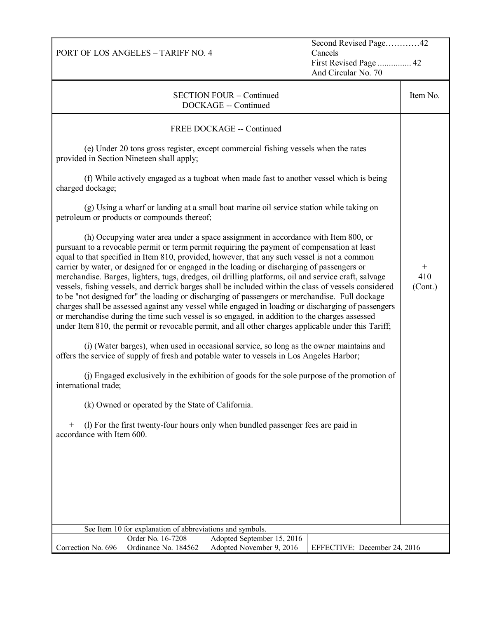Second Revised Page…………42 Cancels First Revised Page ............... 42 And Circular No. 70

|                                                                                                                         |                                                           |                                                                                                                                                                                                                                                                                                                                                                                                                                                                                                                                                                                                                                                                                                                                                                                                                                                                                                            | And Circular No. 70          |                          |
|-------------------------------------------------------------------------------------------------------------------------|-----------------------------------------------------------|------------------------------------------------------------------------------------------------------------------------------------------------------------------------------------------------------------------------------------------------------------------------------------------------------------------------------------------------------------------------------------------------------------------------------------------------------------------------------------------------------------------------------------------------------------------------------------------------------------------------------------------------------------------------------------------------------------------------------------------------------------------------------------------------------------------------------------------------------------------------------------------------------------|------------------------------|--------------------------|
| <b>SECTION FOUR - Continued</b><br>DOCKAGE -- Continued                                                                 |                                                           |                                                                                                                                                                                                                                                                                                                                                                                                                                                                                                                                                                                                                                                                                                                                                                                                                                                                                                            |                              | Item No.                 |
| provided in Section Nineteen shall apply;<br>charged dockage;                                                           | petroleum or products or compounds thereof;               | FREE DOCKAGE -- Continued<br>(e) Under 20 tons gross register, except commercial fishing vessels when the rates<br>(f) While actively engaged as a tugboat when made fast to another vessel which is being<br>(g) Using a wharf or landing at a small boat marine oil service station while taking on<br>(h) Occupying water area under a space assignment in accordance with Item 800, or<br>pursuant to a revocable permit or term permit requiring the payment of compensation at least<br>equal to that specified in Item 810, provided, however, that any such vessel is not a common<br>carrier by water, or designed for or engaged in the loading or discharging of passengers or<br>merchandise. Barges, lighters, tugs, dredges, oil drilling platforms, oil and service craft, salvage<br>vessels, fishing vessels, and derrick barges shall be included within the class of vessels considered |                              | $^{+}$<br>410<br>(Cont.) |
|                                                                                                                         |                                                           | to be "not designed for" the loading or discharging of passengers or merchandise. Full dockage<br>charges shall be assessed against any vessel while engaged in loading or discharging of passengers<br>or merchandise during the time such vessel is so engaged, in addition to the charges assessed                                                                                                                                                                                                                                                                                                                                                                                                                                                                                                                                                                                                      |                              |                          |
|                                                                                                                         |                                                           | under Item 810, the permit or revocable permit, and all other charges applicable under this Tariff;<br>(i) (Water barges), when used in occasional service, so long as the owner maintains and                                                                                                                                                                                                                                                                                                                                                                                                                                                                                                                                                                                                                                                                                                             |                              |                          |
| offers the service of supply of fresh and potable water to vessels in Los Angeles Harbor;                               |                                                           |                                                                                                                                                                                                                                                                                                                                                                                                                                                                                                                                                                                                                                                                                                                                                                                                                                                                                                            |                              |                          |
| (j) Engaged exclusively in the exhibition of goods for the sole purpose of the promotion of<br>international trade;     |                                                           |                                                                                                                                                                                                                                                                                                                                                                                                                                                                                                                                                                                                                                                                                                                                                                                                                                                                                                            |                              |                          |
| (k) Owned or operated by the State of California.                                                                       |                                                           |                                                                                                                                                                                                                                                                                                                                                                                                                                                                                                                                                                                                                                                                                                                                                                                                                                                                                                            |                              |                          |
| (l) For the first twenty-four hours only when bundled passenger fees are paid in<br>$^{+}$<br>accordance with Item 600. |                                                           |                                                                                                                                                                                                                                                                                                                                                                                                                                                                                                                                                                                                                                                                                                                                                                                                                                                                                                            |                              |                          |
|                                                                                                                         |                                                           |                                                                                                                                                                                                                                                                                                                                                                                                                                                                                                                                                                                                                                                                                                                                                                                                                                                                                                            |                              |                          |
|                                                                                                                         |                                                           |                                                                                                                                                                                                                                                                                                                                                                                                                                                                                                                                                                                                                                                                                                                                                                                                                                                                                                            |                              |                          |
|                                                                                                                         |                                                           |                                                                                                                                                                                                                                                                                                                                                                                                                                                                                                                                                                                                                                                                                                                                                                                                                                                                                                            |                              |                          |
|                                                                                                                         |                                                           |                                                                                                                                                                                                                                                                                                                                                                                                                                                                                                                                                                                                                                                                                                                                                                                                                                                                                                            |                              |                          |
|                                                                                                                         | See Item 10 for explanation of abbreviations and symbols. |                                                                                                                                                                                                                                                                                                                                                                                                                                                                                                                                                                                                                                                                                                                                                                                                                                                                                                            |                              |                          |
| Correction No. 696                                                                                                      | Order No. 16-7208<br>Ordinance No. 184562                 | Adopted September 15, 2016<br>Adopted November 9, 2016                                                                                                                                                                                                                                                                                                                                                                                                                                                                                                                                                                                                                                                                                                                                                                                                                                                     | EFFECTIVE: December 24, 2016 |                          |

PORT OF LOS ANGELES – TARIFF NO. 4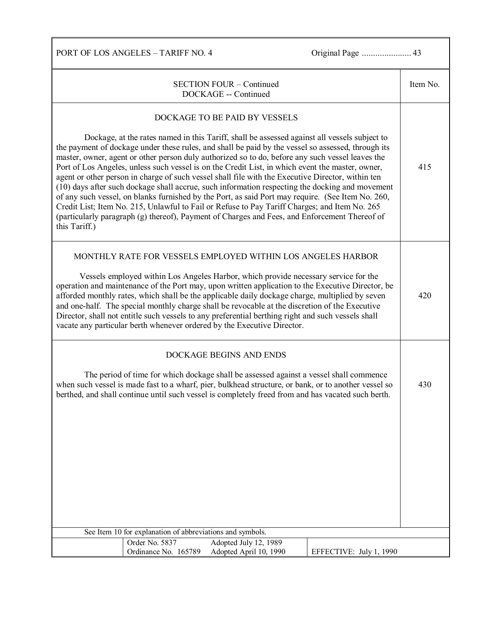PORT OF LOS ANGELES – TARIFF NO. 4 Original Page ...................... 43

| <b>SECTION FOUR – Continued</b><br>DOCKAGE -- Continued                                                                                                                                                                                                                                                                                                                                                                                                                                                                                                                                                                                                                                                                                                                                                                                                                                                                                                                     |     |  |  |  |
|-----------------------------------------------------------------------------------------------------------------------------------------------------------------------------------------------------------------------------------------------------------------------------------------------------------------------------------------------------------------------------------------------------------------------------------------------------------------------------------------------------------------------------------------------------------------------------------------------------------------------------------------------------------------------------------------------------------------------------------------------------------------------------------------------------------------------------------------------------------------------------------------------------------------------------------------------------------------------------|-----|--|--|--|
| DOCKAGE TO BE PAID BY VESSELS<br>Dockage, at the rates named in this Tariff, shall be assessed against all vessels subject to<br>the payment of dockage under these rules, and shall be paid by the vessel so assessed, through its<br>master, owner, agent or other person duly authorized so to do, before any such vessel leaves the<br>Port of Los Angeles, unless such vessel is on the Credit List, in which event the master, owner,<br>agent or other person in charge of such vessel shall file with the Executive Director, within ten<br>(10) days after such dockage shall accrue, such information respecting the docking and movement<br>of any such vessel, on blanks furnished by the Port, as said Port may require. (See Item No. 260,<br>Credit List; Item No. 215, Unlawful to Fail or Refuse to Pay Tariff Charges; and Item No. 265<br>(particularly paragraph (g) thereof), Payment of Charges and Fees, and Enforcement Thereof of<br>this Tariff.) |     |  |  |  |
| MONTHLY RATE FOR VESSELS EMPLOYED WITHIN LOS ANGELES HARBOR<br>Vessels employed within Los Angeles Harbor, which provide necessary service for the<br>operation and maintenance of the Port may, upon written application to the Executive Director, be<br>afforded monthly rates, which shall be the applicable daily dockage charge, multiplied by seven<br>and one-half. The special monthly charge shall be revocable at the discretion of the Executive<br>Director, shall not entitle such vessels to any preferential berthing right and such vessels shall<br>vacate any particular berth whenever ordered by the Executive Director.                                                                                                                                                                                                                                                                                                                               | 420 |  |  |  |
| DOCKAGE BEGINS AND ENDS<br>The period of time for which dockage shall be assessed against a vessel shall commence<br>when such vessel is made fast to a wharf, pier, bulkhead structure, or bank, or to another vessel so<br>berthed, and shall continue until such vessel is completely freed from and has vacated such berth.                                                                                                                                                                                                                                                                                                                                                                                                                                                                                                                                                                                                                                             | 430 |  |  |  |
| See Item 10 for explanation of abbreviations and symbols.<br>Adopted July 12, 1989<br>Order No. 5837<br>Ordinance No. 165789<br>Adopted April 10, 1990<br>EFFECTIVE: July 1, 1990                                                                                                                                                                                                                                                                                                                                                                                                                                                                                                                                                                                                                                                                                                                                                                                           |     |  |  |  |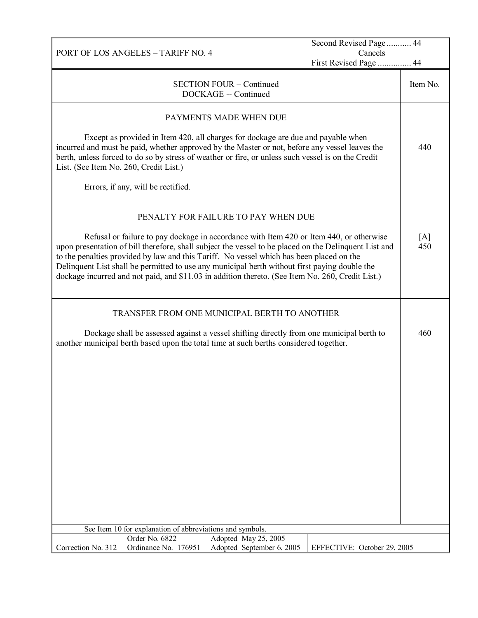|                                                                                                                                                                                                                                                                                                                                                                                                                                                                                                   | PORT OF LOS ANGELES - TARIFF NO. 4                        |                                                         | Second Revised Page 44      |          |
|---------------------------------------------------------------------------------------------------------------------------------------------------------------------------------------------------------------------------------------------------------------------------------------------------------------------------------------------------------------------------------------------------------------------------------------------------------------------------------------------------|-----------------------------------------------------------|---------------------------------------------------------|-----------------------------|----------|
|                                                                                                                                                                                                                                                                                                                                                                                                                                                                                                   |                                                           |                                                         | Cancels                     |          |
|                                                                                                                                                                                                                                                                                                                                                                                                                                                                                                   |                                                           |                                                         | First Revised Page  44      |          |
|                                                                                                                                                                                                                                                                                                                                                                                                                                                                                                   |                                                           | <b>SECTION FOUR - Continued</b><br>DOCKAGE -- Continued |                             | Item No. |
|                                                                                                                                                                                                                                                                                                                                                                                                                                                                                                   |                                                           | PAYMENTS MADE WHEN DUE                                  |                             |          |
| Except as provided in Item 420, all charges for dockage are due and payable when<br>incurred and must be paid, whether approved by the Master or not, before any vessel leaves the<br>berth, unless forced to do so by stress of weather or fire, or unless such vessel is on the Credit<br>List. (See Item No. 260, Credit List.)                                                                                                                                                                |                                                           |                                                         |                             | 440      |
|                                                                                                                                                                                                                                                                                                                                                                                                                                                                                                   | Errors, if any, will be rectified.                        |                                                         |                             |          |
|                                                                                                                                                                                                                                                                                                                                                                                                                                                                                                   |                                                           | PENALTY FOR FAILURE TO PAY WHEN DUE                     |                             |          |
| Refusal or failure to pay dockage in accordance with Item 420 or Item 440, or otherwise<br>upon presentation of bill therefore, shall subject the vessel to be placed on the Delinquent List and<br>to the penalties provided by law and this Tariff. No vessel which has been placed on the<br>Delinquent List shall be permitted to use any municipal berth without first paying double the<br>dockage incurred and not paid, and \$11.03 in addition thereto. (See Item No. 260, Credit List.) |                                                           |                                                         | [A]<br>450                  |          |
|                                                                                                                                                                                                                                                                                                                                                                                                                                                                                                   |                                                           | TRANSFER FROM ONE MUNICIPAL BERTH TO ANOTHER            |                             |          |
| Dockage shall be assessed against a vessel shifting directly from one municipal berth to<br>another municipal berth based upon the total time at such berths considered together.                                                                                                                                                                                                                                                                                                                 |                                                           |                                                         | 460                         |          |
|                                                                                                                                                                                                                                                                                                                                                                                                                                                                                                   |                                                           |                                                         |                             |          |
|                                                                                                                                                                                                                                                                                                                                                                                                                                                                                                   |                                                           |                                                         |                             |          |
|                                                                                                                                                                                                                                                                                                                                                                                                                                                                                                   |                                                           |                                                         |                             |          |
|                                                                                                                                                                                                                                                                                                                                                                                                                                                                                                   |                                                           |                                                         |                             |          |
|                                                                                                                                                                                                                                                                                                                                                                                                                                                                                                   |                                                           |                                                         |                             |          |
|                                                                                                                                                                                                                                                                                                                                                                                                                                                                                                   |                                                           |                                                         |                             |          |
|                                                                                                                                                                                                                                                                                                                                                                                                                                                                                                   |                                                           |                                                         |                             |          |
|                                                                                                                                                                                                                                                                                                                                                                                                                                                                                                   | See Item 10 for explanation of abbreviations and symbols. |                                                         |                             |          |
|                                                                                                                                                                                                                                                                                                                                                                                                                                                                                                   | Order No. 6822                                            | Adopted May 25, 2005                                    |                             |          |
| Correction No. 312                                                                                                                                                                                                                                                                                                                                                                                                                                                                                | Ordinance No. 176951                                      | Adopted September 6, 2005                               | EFFECTIVE: October 29, 2005 |          |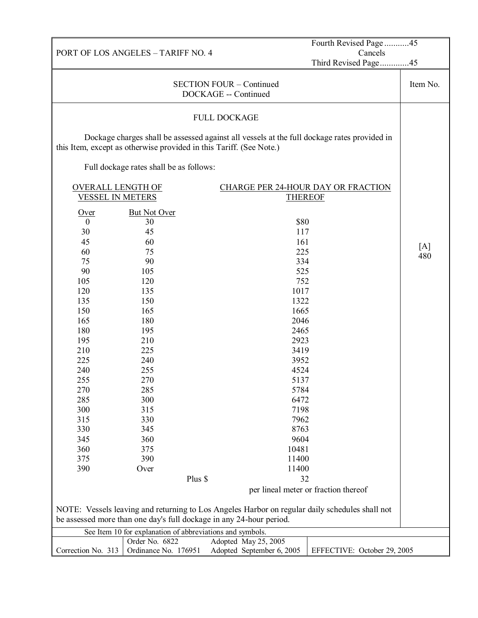|                                                                                                |                                                                     |                                                                                             | Fourth Revised Page45                |          |
|------------------------------------------------------------------------------------------------|---------------------------------------------------------------------|---------------------------------------------------------------------------------------------|--------------------------------------|----------|
| Cancels<br>PORT OF LOS ANGELES - TARIFF NO. 4                                                  |                                                                     |                                                                                             |                                      |          |
|                                                                                                |                                                                     |                                                                                             | Third Revised Page45                 |          |
| <b>SECTION FOUR - Continued</b>                                                                |                                                                     |                                                                                             |                                      | Item No. |
|                                                                                                |                                                                     | DOCKAGE -- Continued                                                                        |                                      |          |
|                                                                                                |                                                                     | <b>FULL DOCKAGE</b>                                                                         |                                      |          |
|                                                                                                |                                                                     |                                                                                             |                                      |          |
|                                                                                                | this Item, except as otherwise provided in this Tariff. (See Note.) | Dockage charges shall be assessed against all vessels at the full dockage rates provided in |                                      |          |
|                                                                                                | Full dockage rates shall be as follows:                             |                                                                                             |                                      |          |
| <b>OVERALL LENGTH OF</b>                                                                       |                                                                     | <b>CHARGE PER 24-HOUR DAY OR FRACTION</b>                                                   |                                      |          |
| <b>VESSEL IN METERS</b>                                                                        |                                                                     | <b>THEREOF</b>                                                                              |                                      |          |
|                                                                                                |                                                                     |                                                                                             |                                      |          |
| Over                                                                                           | <b>But Not Over</b>                                                 |                                                                                             |                                      |          |
| $\boldsymbol{0}$                                                                               | 30                                                                  | \$80                                                                                        |                                      |          |
| 30<br>45                                                                                       | 45<br>60                                                            | 117<br>161                                                                                  |                                      |          |
| 60                                                                                             |                                                                     | 225                                                                                         |                                      | [A]      |
| 75                                                                                             | 75<br>90                                                            | 334                                                                                         |                                      | 480      |
|                                                                                                |                                                                     |                                                                                             |                                      |          |
| 90                                                                                             | 105                                                                 | 525<br>752                                                                                  |                                      |          |
| 105                                                                                            | 120                                                                 |                                                                                             |                                      |          |
| 120                                                                                            | 135                                                                 | 1017                                                                                        |                                      |          |
| 135                                                                                            | 150                                                                 | 1322                                                                                        |                                      |          |
| 150                                                                                            | 165                                                                 | 1665                                                                                        |                                      |          |
| 165                                                                                            | 180                                                                 | 2046                                                                                        |                                      |          |
| 180                                                                                            | 195                                                                 | 2465                                                                                        |                                      |          |
| 195                                                                                            | 210                                                                 | 2923                                                                                        |                                      |          |
| 210                                                                                            | 225                                                                 | 3419                                                                                        |                                      |          |
| 225                                                                                            | 240                                                                 | 3952                                                                                        |                                      |          |
| 240                                                                                            | 255                                                                 | 4524                                                                                        |                                      |          |
| 255                                                                                            | 270                                                                 | 5137                                                                                        |                                      |          |
| 270                                                                                            |                                                                     | 285<br>5784                                                                                 |                                      |          |
| 285                                                                                            |                                                                     | 300<br>6472                                                                                 |                                      |          |
| 300                                                                                            |                                                                     | 315<br>7198                                                                                 |                                      |          |
| 315                                                                                            |                                                                     | 330<br>7962                                                                                 |                                      |          |
| 330                                                                                            | 345                                                                 | 8763                                                                                        |                                      |          |
| 345                                                                                            | 360                                                                 | 9604                                                                                        |                                      |          |
| 360                                                                                            | 375                                                                 | 10481                                                                                       |                                      |          |
| 375                                                                                            | 390                                                                 | 11400                                                                                       |                                      |          |
| 390                                                                                            | Over                                                                | 11400                                                                                       |                                      |          |
|                                                                                                | Plus \$                                                             | 32                                                                                          |                                      |          |
|                                                                                                |                                                                     |                                                                                             | per lineal meter or fraction thereof |          |
| NOTE: Vessels leaving and returning to Los Angeles Harbor on regular daily schedules shall not |                                                                     |                                                                                             |                                      |          |
| be assessed more than one day's full dockage in any 24-hour period.                            |                                                                     |                                                                                             |                                      |          |
| See Item 10 for explanation of abbreviations and symbols.                                      |                                                                     |                                                                                             |                                      |          |
|                                                                                                | Order No. 6822                                                      | Adopted May 25, 2005                                                                        |                                      |          |
| Correction No. 313                                                                             | Ordinance No. 176951                                                | Adopted September 6, 2005                                                                   | EFFECTIVE: October 29, 2005          |          |